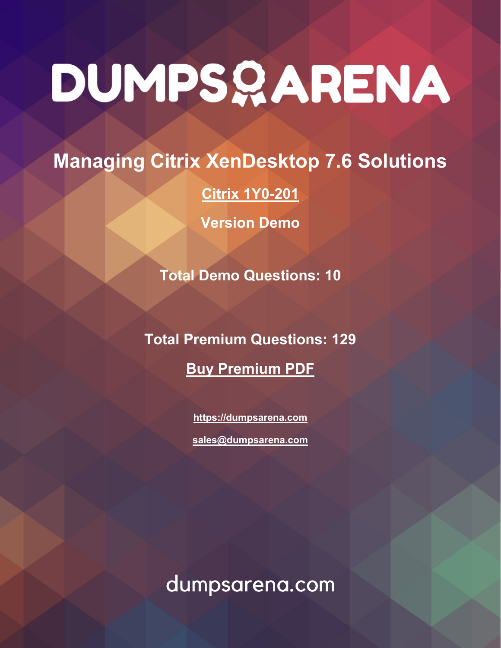# **Managing Citrix XenDesktop 7.6 Solutions**

# **[Citrix 1Y0-201](https://dumpsarena.com/exam/1y0-201/)**

**Version Demo**

**Total Demo Questions: 10**

**Total Premium Questions: 129 [Buy Premium PDF](https://dumpsarena.com/exam/1y0-201/)**

> **[https://dumpsarena.com](https://dumpsarena.com/) [sales@dumpsarena.com](mailto:sales@dumpsarena.com)**

dumpsarena.com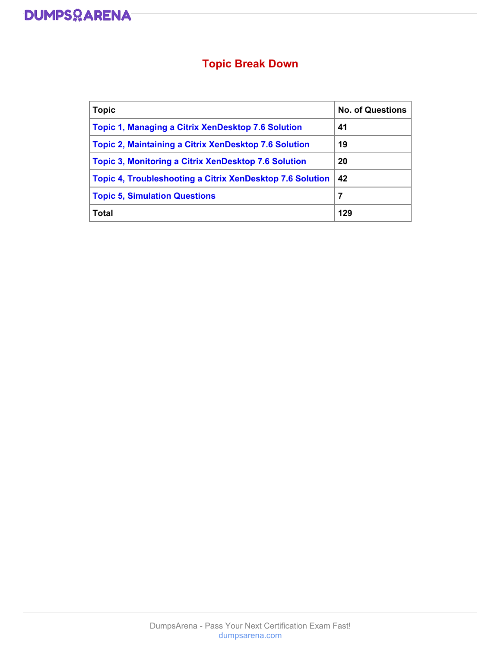

# **Topic Break Down**

| <b>Topic</b>                                                     | <b>No. of Questions</b> |
|------------------------------------------------------------------|-------------------------|
| <b>Topic 1, Managing a Citrix XenDesktop 7.6 Solution</b>        | 41                      |
| <b>Topic 2, Maintaining a Citrix XenDesktop 7.6 Solution</b>     | 19                      |
| <b>Topic 3, Monitoring a Citrix XenDesktop 7.6 Solution</b>      | 20                      |
| <b>Topic 4, Troubleshooting a Citrix XenDesktop 7.6 Solution</b> | 42                      |
| <b>Topic 5, Simulation Questions</b>                             | 7                       |
| Total                                                            | 129                     |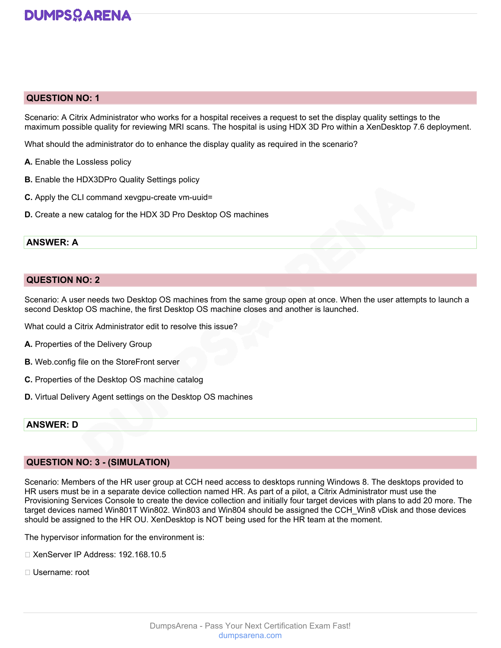

# **QUESTION NO: 1**

Scenario: A Citrix Administrator who works for a hospital receives a request to set the display quality settings to the maximum possible quality for reviewing MRI scans. The hospital is using HDX 3D Pro within a XenDesktop 7.6 deployment.

What should the administrator do to enhance the display quality as required in the scenario?

- **A.** Enable the Lossless policy
- **B.** Enable the HDX3DPro Quality Settings policy
- **C.** Apply the CLI command xevgpu-create vm-uuid=
- **D.** Create a new catalog for the HDX 3D Pro Desktop OS machines

### **ANSWER: A**

### **QUESTION NO: 2**

Scenario: A user needs two Desktop OS machines from the same group open at once. When the user attempts to launch a second Desktop OS machine, the first Desktop OS machine closes and another is launched.

What could a Citrix Administrator edit to resolve this issue?

- **A.** Properties of the Delivery Group
- **B.** Web.config file on the StoreFront server
- **C.** Properties of the Desktop OS machine catalog
- **D.** Virtual Delivery Agent settings on the Desktop OS machines

# **ANSWER: D**

### **QUESTION NO: 3 - (SIMULATION)**

Scenario: Members of the HR user group at CCH need access to desktops running Windows 8. The desktops provided to HR users must be in a separate device collection named HR. As part of a pilot, a Citrix Administrator must use the Provisioning Services Console to create the device collection and initially four target devices with plans to add 20 more. The target devices named Win801T Win802. Win803 and Win804 should be assigned the CCH\_Win8 vDisk and those devices should be assigned to the HR OU. XenDesktop is NOT being used for the HR team at the moment.

The hypervisor information for the environment is:

- □ XenServer IP Address: 192.168.10.5
- Username: root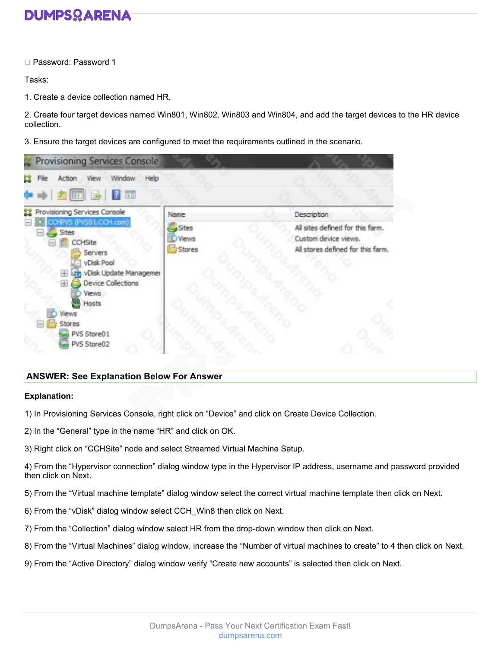

□ Password: Password 1

Tasks:

1. Create a device collection named HR.

2. Create four target devices named Win801, Win802. Win803 and Win804, and add the target devices to the HR device collection.

3. Ensure the target devices are configured to meet the requirements outlined in the scenario.

| <b>Provisioning Services Console</b>                                                                                                                                                                                                                                                                                                                                                    |                                 |                                                                                               |
|-----------------------------------------------------------------------------------------------------------------------------------------------------------------------------------------------------------------------------------------------------------------------------------------------------------------------------------------------------------------------------------------|---------------------------------|-----------------------------------------------------------------------------------------------|
| Window<br>View<br>Help<br>Action<br>$\begin{picture}(150,10) \put(0,0){\line(1,0){10}} \put(15,0){\line(1,0){10}} \put(15,0){\line(1,0){10}} \put(15,0){\line(1,0){10}} \put(15,0){\line(1,0){10}} \put(15,0){\line(1,0){10}} \put(15,0){\line(1,0){10}} \put(15,0){\line(1,0){10}} \put(15,0){\line(1,0){10}} \put(15,0){\line(1,0){10}} \put(15,0){\line(1,0){10}} \put(15,0){\line($ |                                 |                                                                                               |
| Provisioning Services Console                                                                                                                                                                                                                                                                                                                                                           | Name                            | Description                                                                                   |
| CCHPVS (PVS01.CCH.com)<br>Sites<br>CCHSite<br>Servers<br>vDisk Pool<br>vDisk Update Managemer<br>æ<br><b>Device Collections</b><br>æ<br>Views.<br>Hosts<br>Views<br>Stores<br>PVS Store01<br>PVS Store02                                                                                                                                                                                | Sites<br><b>Views</b><br>Stores | All sites defined for this farm.<br>Custom device views.<br>All stores defined for this farm. |

# **ANSWER: See Explanation Below For Answer**

# **Explanation:**

- 1) In Provisioning Services Console, right click on "Device" and click on Create Device Collection.
- 2) In the "General" type in the name "HR" and click on OK.
- 3) Right click on "CCHSite" node and select Streamed Virtual Machine Setup.

4) From the "Hypervisor connection" dialog window type in the Hypervisor IP address, username and password provided then click on Next.

- 5) From the "Virtual machine template" dialog window select the correct virtual machine template then click on Next.
- 6) From the "vDisk" dialog window select CCH\_Win8 then click on Next.
- 7) From the "Collection" dialog window select HR from the drop-down window then click on Next.
- 8) From the "Virtual Machines" dialog window, increase the "Number of virtual machines to create" to 4 then click on Next.
- 9) From the "Active Directory" dialog window verify "Create new accounts" is selected then click on Next.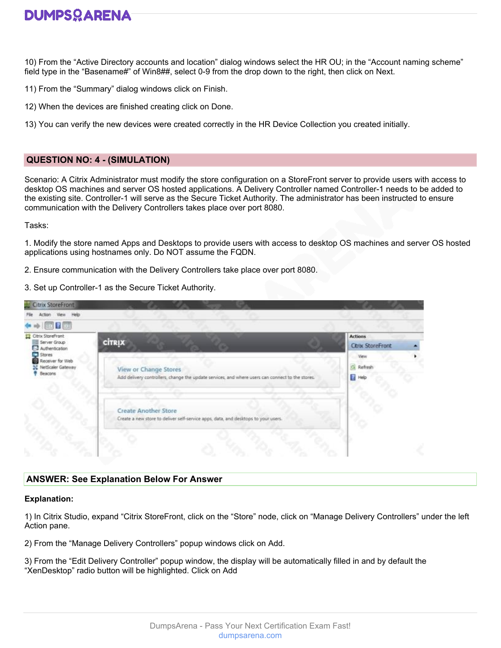

10) From the "Active Directory accounts and location" dialog windows select the HR OU; in the "Account naming scheme" field type in the "Basename#" of Win8##, select 0-9 from the drop down to the right, then click on Next.

- 11) From the "Summary" dialog windows click on Finish.
- 12) When the devices are finished creating click on Done.
- 13) You can verify the new devices were created correctly in the HR Device Collection you created initially.

# **QUESTION NO: 4 - (SIMULATION)**

Scenario: A Citrix Administrator must modify the store configuration on a StoreFront server to provide users with access to desktop OS machines and server OS hosted applications. A Delivery Controller named Controller-1 needs to be added to the existing site. Controller-1 will serve as the Secure Ticket Authority. The administrator has been instructed to ensure communication with the Delivery Controllers takes place over port 8080.

Tasks:

1. Modify the store named Apps and Desktops to provide users with access to desktop OS machines and server OS hosted applications using hostnames only. Do NOT assume the FQDN.

- 2. Ensure communication with the Delivery Controllers take place over port 8080.
- 3. Set up Controller-1 as the Secure Ticket Authority.

| $\leftrightarrow$ 000                   |                                                                                                  |                          |  |
|-----------------------------------------|--------------------------------------------------------------------------------------------------|--------------------------|--|
| Citrix StoreFront<br>Server Group       | <b>CİTRIX</b>                                                                                    | <b>Actions</b>           |  |
| Authentication<br>Stores                |                                                                                                  | <b>Citro: StoreFront</b> |  |
| Receiver for Web<br>N NetScaler Gateway | View or Change Stores                                                                            | View<br>C. Refresh       |  |
| Beacons                                 | Add delivery controllers, change the update services, and where users can connect to the stores. | Help                     |  |
|                                         | Create Another Store                                                                             |                          |  |
|                                         | Create a new store to deliver self-service apps, data, and desktops to your users.               |                          |  |

### **ANSWER: See Explanation Below For Answer**

### **Explanation:**

1) In Citrix Studio, expand "Citrix StoreFront, click on the "Store" node, click on "Manage Delivery Controllers" under the left Action pane.

- 2) From the "Manage Delivery Controllers" popup windows click on Add.
- 3) From the "Edit Delivery Controller" popup window, the display will be automatically filled in and by default the "XenDesktop" radio button will be highlighted. Click on Add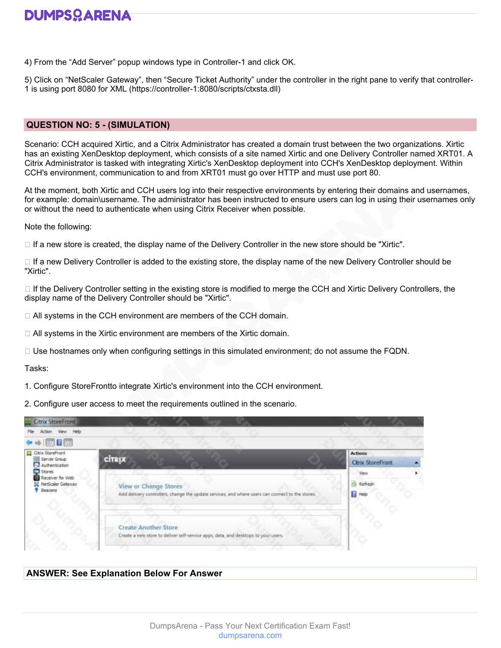4) From the "Add Server" popup windows type in Controller-1 and click OK.

5) Click on "NetScaler Gateway", then "Secure Ticket Authority" under the controller in the right pane to verify that controller-1 is using port 8080 for XML (https://controller-1:8080/scripts/ctxsta.dll)

# **QUESTION NO: 5 - (SIMULATION)**

Scenario: CCH acquired Xirtic, and a Citrix Administrator has created a domain trust between the two organizations. Xirtic has an existing XenDesktop deployment, which consists of a site named Xirtic and one Delivery Controller named XRT01. A Citrix Administrator is tasked with integrating Xirtic's XenDesktop deployment into CCH's XenDesktop deployment. Within CCH's environment, communication to and from XRT01 must go over HTTP and must use port 80.

At the moment, both Xirtic and CCH users log into their respective environments by entering their domains and usernames, for example: domain\username. The administrator has been instructed to ensure users can log in using their usernames only or without the need to authenticate when using Citrix Receiver when possible.

Note the following:

 $\Box$  If a new store is created, the display name of the Delivery Controller in the new store should be "Xirtic".

 $\Box$  If a new Delivery Controller is added to the existing store, the display name of the new Delivery Controller should be "Xirtic".

 $\Box$  If the Delivery Controller setting in the existing store is modified to merge the CCH and Xirtic Delivery Controllers, the display name of the Delivery Controller should be "Xirtic".

 $\Box$  All systems in the CCH environment are members of the CCH domain.

□ All systems in the Xirtic environment are members of the Xirtic domain.

 $\Box$  Use hostnames only when configuring settings in this simulated environment; do not assume the FQDN.

Tasks:

1. Configure StoreFrontto integrate Xirtic's environment into the CCH environment.

2. Configure user access to meet the requirements outlined in the scenario.

| Citrix StoreFront<br>Action View Help                                |                                                                                                                                  |                                           |  |
|----------------------------------------------------------------------|----------------------------------------------------------------------------------------------------------------------------------|-------------------------------------------|--|
| $\leftrightarrow$ 000                                                |                                                                                                                                  |                                           |  |
| Citrix StoreFront<br>Server Group<br>Authentication                  | <b>CITRIX</b>                                                                                                                    | <b>Actions</b><br><b>Ctrix StoreFront</b> |  |
| Stores<br>Receiver for Web<br>SC NetScaler Gateway<br><b>Beacons</b> | <b>View or Change Stores</b><br>Add delivery controllers, change the update services, and where users can connect to the stores. | View<br>G Refresh<br><b>B</b> Help        |  |
|                                                                      | <b>Create Another Store</b><br>Create a new store to deliver self-service apps, data, and desktops to your users.                |                                           |  |

# **ANSWER: See Explanation Below For Answer**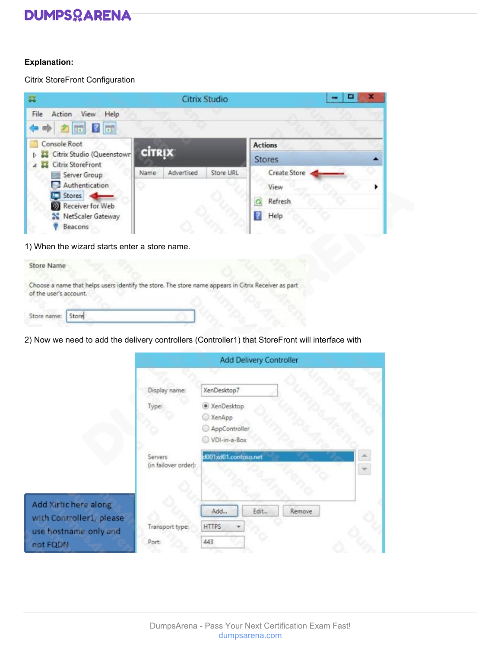# **Explanation:**

Citrix StoreFront Configuration

| ਕ                                                                                                  |               |            | <b>Citrix Studio</b> |                                          | ٠ |
|----------------------------------------------------------------------------------------------------|---------------|------------|----------------------|------------------------------------------|---|
| Action View<br>File<br>Help<br>$\bullet \bullet$ $\bullet$ $\bullet$ $\bullet$ $\bullet$ $\bullet$ |               |            |                      |                                          |   |
| Console Root<br>Citrix Studio (Queenstown)<br><b>Citrix StoreFront</b>                             | <b>CİTRIX</b> |            |                      | <b>Actions</b><br><b>Stores</b>          |   |
| Server Group<br>Authentication<br>Stores<br>Receiver for Web<br>NetScaler Gateway<br>Beacons       | Name          | Advertised | Store URL            | Create Store<br>View.<br>Refresh<br>Help |   |

1) When the wizard starts enter a store name.

| Store Name             |                                                                                                      |
|------------------------|------------------------------------------------------------------------------------------------------|
| of the user's account. | Choose a name that helps users identify the store. The store name appears in Citrix Receiver as part |
| Store name: Store      |                                                                                                      |

2) Now we need to add the delivery controllers (Controller1) that StoreFront will interface with

|                                                   |                                 | Add Delivery Controller               |  |
|---------------------------------------------------|---------------------------------|---------------------------------------|--|
|                                                   | Display name:                   | XenDesktop7                           |  |
|                                                   | Type:                           | · XenDesktop<br>XenApp                |  |
|                                                   |                                 | AppController<br>VDI-in-a-Box         |  |
|                                                   | Servers<br>(in failover order): | d001xd01.contoso.net                  |  |
| Add Xirtic here along<br>with Controller1, please | Transport type:                 | Add<br>Edit<br>Remove<br><b>HTTPS</b> |  |
| use hostname only and<br>not FQDN                 | Port:                           | 443                                   |  |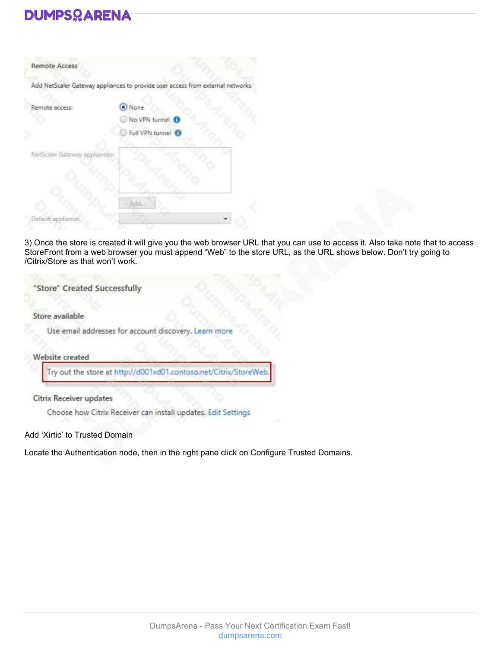| Add NetScaler Gateway appliances to provide user access from external networks |
|--------------------------------------------------------------------------------|
| O None                                                                         |
| No VPN tunnel                                                                  |
| Full VPN tunnel                                                                |
| NetScaler Gateway appliances:                                                  |
|                                                                                |
|                                                                                |
|                                                                                |

3) Once the store is created it will give you the web browser URL that you can use to access it. Also take note that to access StoreFront from a web browser you must append "Web" to the store URL, as the URL shows below. Don't try going to /Citrix/Store as that won't work.

"Store" Created Successfully

Store available

Use email addresses for account discovery. Learn more

Website created

Try out the store at http://d001xd01.contoso.net/Citrix/StoreWeb

Citrix Receiver updates

Choose how Citrix Receiver can install updates. Edit Settings

Add 'Xirtic' to Trusted Domain

Locate the Authentication node, then in the right pane click on Configure Trusted Domains.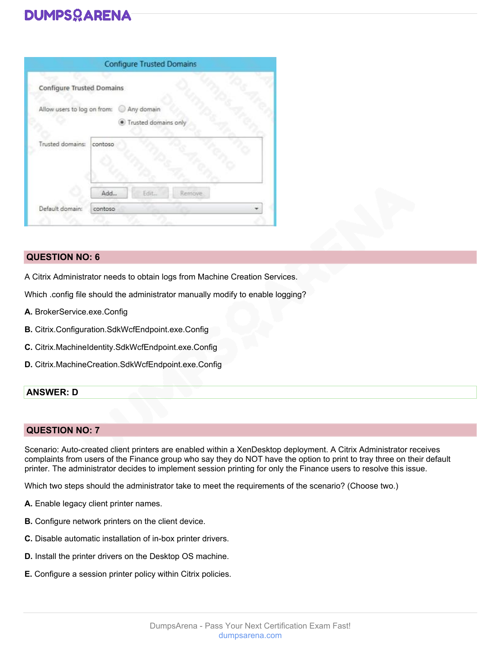| Allow users to log on from:<br>G0 |                                             |            |                      |
|-----------------------------------|---------------------------------------------|------------|----------------------|
|                                   |                                             |            |                      |
|                                   |                                             |            |                      |
|                                   |                                             |            |                      |
|                                   |                                             |            |                      |
|                                   |                                             |            |                      |
|                                   |                                             |            |                      |
|                                   | <b>Configure Trusted Domains</b><br>contoso | Any domain | Trusted domains only |

# **QUESTION NO: 6**

A Citrix Administrator needs to obtain logs from Machine Creation Services.

Which .config file should the administrator manually modify to enable logging?

- **A.** BrokerService.exe.Config
- **B.** Citrix.Configuration.SdkWcfEndpoint.exe.Config
- **C.** Citrix.MachineIdentity.SdkWcfEndpoint.exe.Config
- **D.** Citrix.MachineCreation.SdkWcfEndpoint.exe.Config

# **ANSWER: D**

# **QUESTION NO: 7**

Scenario: Auto-created client printers are enabled within a XenDesktop deployment. A Citrix Administrator receives complaints from users of the Finance group who say they do NOT have the option to print to tray three on their default printer. The administrator decides to implement session printing for only the Finance users to resolve this issue.

Which two steps should the administrator take to meet the requirements of the scenario? (Choose two.)

- **A.** Enable legacy client printer names.
- **B.** Configure network printers on the client device.
- **C.** Disable automatic installation of in-box printer drivers.
- **D.** Install the printer drivers on the Desktop OS machine.
- **E.** Configure a session printer policy within Citrix policies.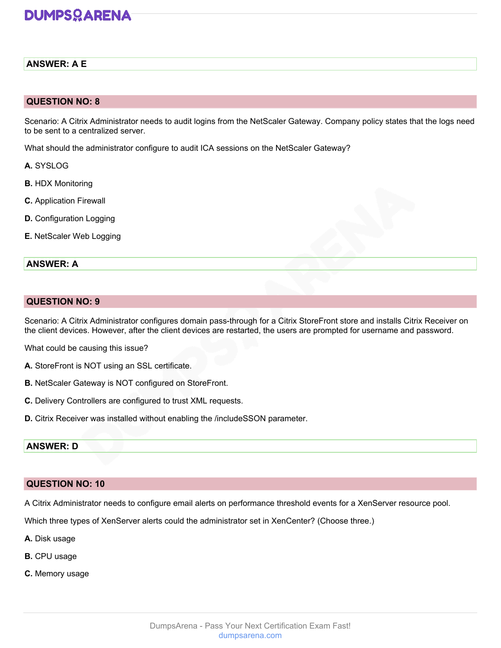# **ANSWER: A E**

# **QUESTION NO: 8**

Scenario: A Citrix Administrator needs to audit logins from the NetScaler Gateway. Company policy states that the logs need to be sent to a centralized server.

What should the administrator configure to audit ICA sessions on the NetScaler Gateway?

- **A.** SYSLOG
- **B.** HDX Monitoring
- **C.** Application Firewall
- **D.** Configuration Logging
- **E.** NetScaler Web Logging

### **ANSWER: A**

# **QUESTION NO: 9**

Scenario: A Citrix Administrator configures domain pass-through for a Citrix StoreFront store and installs Citrix Receiver on the client devices. However, after the client devices are restarted, the users are prompted for username and password.

What could be causing this issue?

- **A.** StoreFront is NOT using an SSL certificate.
- **B.** NetScaler Gateway is NOT configured on StoreFront.
- **C.** Delivery Controllers are configured to trust XML requests.
- **D.** Citrix Receiver was installed without enabling the /includeSSON parameter.

# **ANSWER: D**

# **QUESTION NO: 10**

A Citrix Administrator needs to configure email alerts on performance threshold events for a XenServer resource pool.

Which three types of XenServer alerts could the administrator set in XenCenter? (Choose three.)

- **A.** Disk usage
- **B.** CPU usage
- **C.** Memory usage